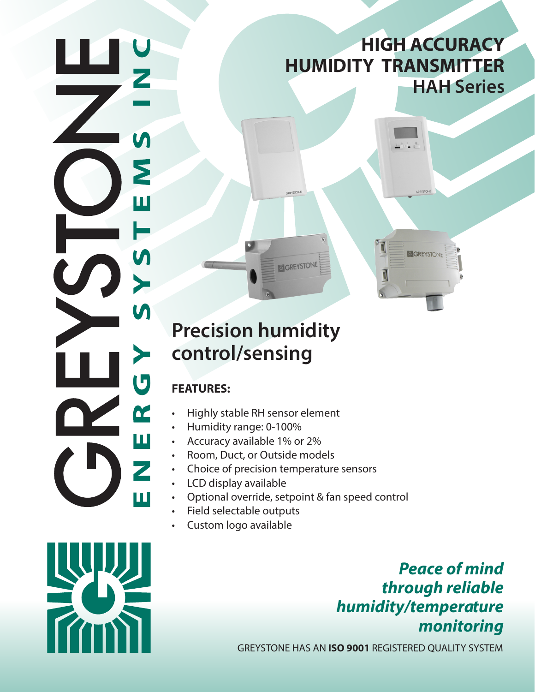## **HIGH ACCURACY HUMIDITY TRANSMITTER HAH Series**

 $\sqrt{1}$ 

1

GREYSTON

# **Precision humidity control/sensing**

### **FEATURES:**

Σ

Ш

 $\boldsymbol{\mathsf{M}}$ 

 $\blacktriangleright$ 

 $\boldsymbol{\mathsf{M}}$ 

≻

 $\overline{\mathbf{U}}$ 

 $\alpha$ 

 $\overline{\mathbf{u}}$ 

Z

u.

- Highly stable RH sensor element
- Humidity range: 0-100%
- Accuracy available 1% or 2%
- Room, Duct, or Outside models
- Choice of precision temperature sensors
- LCD display available
- Optional override, setpoint & fan speed control

**GREYSTONE** 

- Field selectable outputs
- Custom logo available

*Peace of mind through reliable humidity/temperature monitoring*

GREYSTONE HAS AN **ISO 9001** REGISTERED QUALITY SYSTEM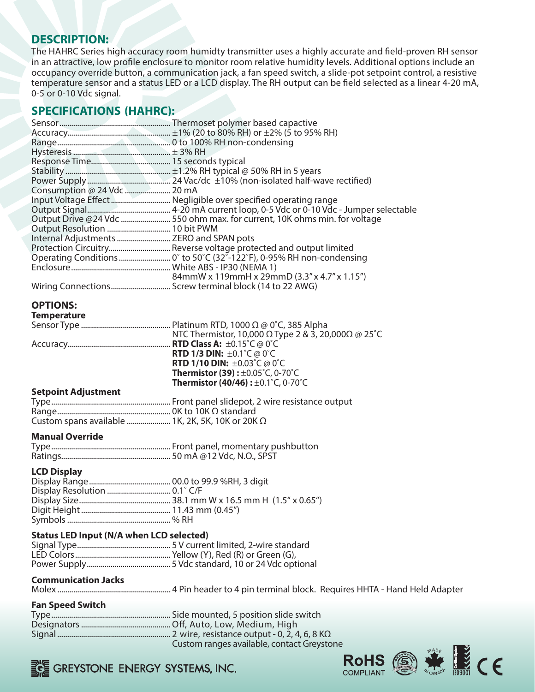### **DESCRIPTION:**

The HAHRC Series high accuracy room humidty transmitter uses a highly accurate and field-proven RH sensor in an attractive, low profile enclosure to monitor room relative humidity levels. Additional options include an occupancy override button, a communication jack, a fan speed switch, a slide-pot setpoint control, a resistive temperature sensor and a status LED or a LCD display. The RH output can be field selected as a linear 4-20 mA, 0-5 or 0-10 Vdc signal.

### **SPECIFICATIONS (HAHRC):**

| Consumption @ 24 Vdc  20 mA                             |                                                                           |
|---------------------------------------------------------|---------------------------------------------------------------------------|
|                                                         | Input Voltage Effect  Negligible over specified operating range           |
|                                                         |                                                                           |
|                                                         | Output Drive @24 Vdc  550 ohm max. for current, 10K ohms min. for voltage |
|                                                         |                                                                           |
| Internal Adjustments  ZERO and SPAN pots                |                                                                           |
|                                                         | Protection Circuitry Reverse voltage protected and output limited         |
|                                                         |                                                                           |
|                                                         |                                                                           |
|                                                         |                                                                           |
|                                                         |                                                                           |
|                                                         |                                                                           |
| <b>OPTIONS:</b>                                         |                                                                           |
| <b>Temperature</b>                                      |                                                                           |
|                                                         |                                                                           |
|                                                         |                                                                           |
|                                                         |                                                                           |
|                                                         | <b>RTD 1/3 DIN:</b> $\pm 0.1^{\circ}$ C @ 0 $^{\circ}$ C                  |
|                                                         | <b>RTD 1/10 DIN:</b> $\pm 0.03^{\circ}$ C @ 0°C                           |
|                                                         | <b>Thermistor (39):</b> $\pm 0.05^{\circ}$ C, 0-70 $^{\circ}$ C           |
|                                                         | <b>Thermistor (40/46):</b> $\pm 0.1^{\circ}$ C, 0-70 $^{\circ}$ C         |
| <b>Setpoint Adjustment</b>                              |                                                                           |
|                                                         |                                                                           |
|                                                         |                                                                           |
| Custom spans available  1K, 2K, 5K, 10K or 20K $\Omega$ |                                                                           |
|                                                         |                                                                           |
| <b>Manual Override</b>                                  |                                                                           |
|                                                         |                                                                           |
|                                                         |                                                                           |
|                                                         |                                                                           |
| <b>LCD Display</b>                                      |                                                                           |
|                                                         |                                                                           |
| Display Resolution  0.1° C/F                            |                                                                           |
|                                                         |                                                                           |
|                                                         |                                                                           |
|                                                         |                                                                           |
| <b>Status LED Input (N/A when LCD selected)</b>         |                                                                           |
|                                                         |                                                                           |
|                                                         |                                                                           |
|                                                         |                                                                           |
|                                                         |                                                                           |
| <b>Communication Jacks</b>                              |                                                                           |
|                                                         |                                                                           |
|                                                         |                                                                           |
| <b>Fan Speed Switch</b>                                 |                                                                           |
|                                                         |                                                                           |
|                                                         |                                                                           |
|                                                         |                                                                           |
|                                                         | Custom ranges available, contact Greystone                                |



GREYSTONE ENERGY SYSTEMS, INC.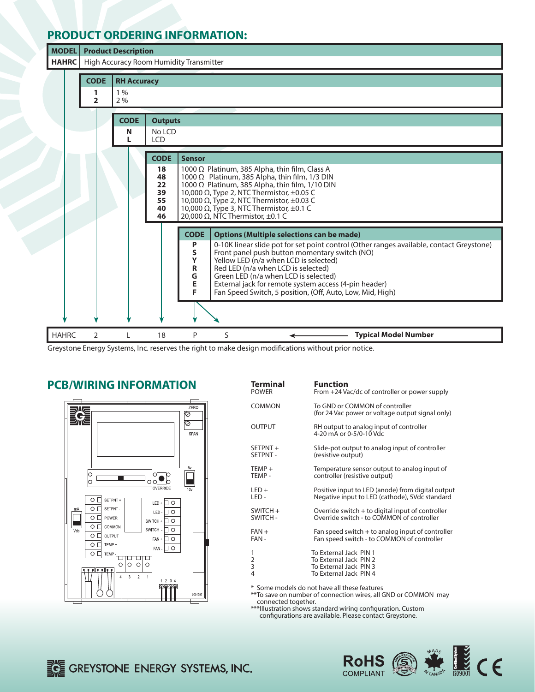### **PRODUCT ORDERING INFORMATION:**

| <b>MODEL</b> | <b>Product Description</b>                  |                                |                                        |                                                                                                                                                                                                                                                                                                                                                                                                                                                                                                        |  |  |  |
|--------------|---------------------------------------------|--------------------------------|----------------------------------------|--------------------------------------------------------------------------------------------------------------------------------------------------------------------------------------------------------------------------------------------------------------------------------------------------------------------------------------------------------------------------------------------------------------------------------------------------------------------------------------------------------|--|--|--|
| <b>HAHRC</b> | High Accuracy Room Humidity Transmitter     |                                |                                        |                                                                                                                                                                                                                                                                                                                                                                                                                                                                                                        |  |  |  |
|              | <b>CODE</b><br>1<br>$\overline{\mathbf{2}}$ | <b>RH Accuracy</b><br>1%<br>2% |                                        |                                                                                                                                                                                                                                                                                                                                                                                                                                                                                                        |  |  |  |
|              |                                             |                                |                                        |                                                                                                                                                                                                                                                                                                                                                                                                                                                                                                        |  |  |  |
|              |                                             | <b>CODE</b>                    | <b>Outputs</b>                         |                                                                                                                                                                                                                                                                                                                                                                                                                                                                                                        |  |  |  |
|              |                                             | N<br>L                         | No LCD<br><b>LCD</b>                   |                                                                                                                                                                                                                                                                                                                                                                                                                                                                                                        |  |  |  |
|              |                                             |                                | <b>CODE</b>                            | <b>Sensor</b>                                                                                                                                                                                                                                                                                                                                                                                                                                                                                          |  |  |  |
|              |                                             |                                | 18<br>48<br>22<br>39<br>55<br>40<br>46 | 1000 $\Omega$ Platinum, 385 Alpha, thin film, Class A<br>1000 $\Omega$ Platinum, 385 Alpha, thin film, 1/3 DIN<br>1000 Ω Platinum, 385 Alpha, thin film, 1/10 DIN<br>10,000 $\Omega$ , Type 2, NTC Thermistor, $\pm 0.05$ C<br>10,000 $\Omega$ , Type 2, NTC Thermistor, $\pm$ 0.03 C<br>10,000 $\Omega$ , Type 3, NTC Thermistor, $\pm 0.1$ C<br>20,000 Ω, NTC Thermistor, $±0.1$ C                                                                                                                   |  |  |  |
|              |                                             |                                |                                        | <b>CODE</b><br><b>Options (Multiple selections can be made)</b><br>P<br>0-10K linear slide pot for set point control (Other ranges available, contact Greystone)<br>S<br>Front panel push button momentary switch (NO)<br>Y<br>Yellow LED (n/a when LCD is selected)<br>$\mathbf R$<br>Red LED (n/a when LCD is selected)<br>G<br>Green LED (n/a when LCD is selected)<br>E<br>External jack for remote system access (4-pin header)<br>F<br>Fan Speed Switch, 5 position, (Off, Auto, Low, Mid, High) |  |  |  |
|              |                                             |                                |                                        |                                                                                                                                                                                                                                                                                                                                                                                                                                                                                                        |  |  |  |
| <b>HAHRC</b> | 2                                           |                                | 18                                     | <b>Typical Model Number</b><br>P<br>S                                                                                                                                                                                                                                                                                                                                                                                                                                                                  |  |  |  |

Greystone Energy Systems, Inc. reserves the right to make design modifications without prior notice.

### **PCB/WIRING INFORMATION Te**



| Terminal                                     | <b>Function</b>                                                                                      |  |  |  |
|----------------------------------------------|------------------------------------------------------------------------------------------------------|--|--|--|
| <b>POWER</b>                                 | From +24 Vac/dc of controller or power supply                                                        |  |  |  |
| COMMON                                       | To GND or COMMON of controller<br>(for 24 Vac power or voltage output signal only)                   |  |  |  |
| OUTPUT                                       | RH output to analog input of controller<br>4-20 mA or 0-5/0-10 Vdc                                   |  |  |  |
| SETPNT +                                     | Slide-pot output to analog input of controller                                                       |  |  |  |
| <b>SETPNT -</b>                              | (resistive output)                                                                                   |  |  |  |
| TEMP +                                       | Temperature sensor output to analog input of                                                         |  |  |  |
| TEMP -                                       | controller (resistive output)                                                                        |  |  |  |
| LED+                                         | Positive input to LED (anode) from digital output                                                    |  |  |  |
| LED -                                        | Negative input to LED (cathode), 5Vdc standard                                                       |  |  |  |
| SWITCH +                                     | Override switch $+$ to digital input of controller                                                   |  |  |  |
| <b>SWITCH-</b>                               | Override switch - to COMMON of controller                                                            |  |  |  |
| FAN +                                        | Fan speed switch $+$ to analog input of controller                                                   |  |  |  |
| FAN -                                        | Fan speed switch - to COMMON of controller                                                           |  |  |  |
| 1<br>2<br>3<br>4                             | To External Jack PIN 1<br>To External Jack PIN 2<br>To External Jack PIN 3<br>To External Jack PIN 4 |  |  |  |
| * Some models do not have all these features |                                                                                                      |  |  |  |

\*\*To save on number of connection wires, all GND or COMMON may connected together.

\*\*\*Illustration shows standard wiring configuration. Custom configurations are available. Please contact Greystone.

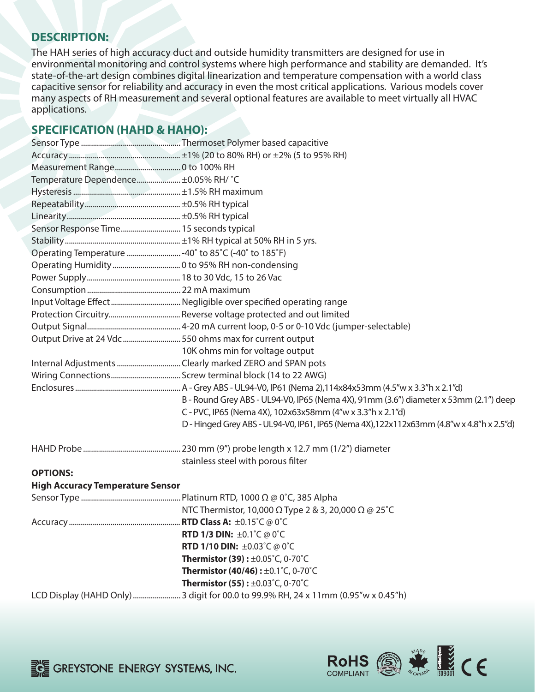### **DESCRIPTION:**

The HAH series of high accuracy duct and outside humidity transmitters are designed for use in environmental monitoring and control systems where high performance and stability are demanded. It's state-of-the-art design combines digital linearization and temperature compensation with a world class capacitive sensor for reliability and accuracy in even the most critical applications. Various models cover many aspects of RH measurement and several optional features are available to meet virtually all HVAC applications.

### **SPECIFICATION (HAHD & HAHO):**

| Temperature Dependence ±0.05% RH/ °C                  |                                                                                           |
|-------------------------------------------------------|-------------------------------------------------------------------------------------------|
|                                                       |                                                                                           |
|                                                       |                                                                                           |
|                                                       |                                                                                           |
| Sensor Response Time 15 seconds typical               |                                                                                           |
|                                                       |                                                                                           |
| Operating Temperature  -40° to 85°C (-40° to 185°F)   |                                                                                           |
|                                                       |                                                                                           |
|                                                       |                                                                                           |
|                                                       |                                                                                           |
|                                                       |                                                                                           |
|                                                       |                                                                                           |
|                                                       |                                                                                           |
| Output Drive at 24 Vdc550 ohms max for current output |                                                                                           |
|                                                       | 10K ohms min for voltage output                                                           |
|                                                       | Internal Adjustments Clearly marked ZERO and SPAN pots                                    |
|                                                       |                                                                                           |
|                                                       |                                                                                           |
|                                                       | B - Round Grey ABS - UL94-V0, IP65 (Nema 4X), 91mm (3.6") diameter x 53mm (2.1") deep     |
|                                                       | C - PVC, IP65 (Nema 4X), 102x63x58mm (4"w x 3.3"h x 2.1"d)                                |
|                                                       | D - Hinged Grey ABS - UL94-V0, IP61, IP65 (Nema 4X), 122x112x63mm (4.8"w x 4.8"h x 2.5"d) |
|                                                       |                                                                                           |
|                                                       | stainless steel with porous filter                                                        |
| <b>OPTIONS:</b>                                       |                                                                                           |
| <b>High Accuracy Temperature Sensor</b>               |                                                                                           |
|                                                       |                                                                                           |
|                                                       | NTC Thermistor, 10,000 $\Omega$ Type 2 & 3, 20,000 $\Omega \otimes 25^{\circ}$ C          |
|                                                       |                                                                                           |
|                                                       | RTD 1/3 DIN: ±0.1°C @ 0°C                                                                 |
|                                                       | <b>RTD 1/10 DIN: ±0.03°C @ 0°C</b>                                                        |
|                                                       | <b>Thermistor (39):</b> $\pm 0.05^{\circ}$ C, 0-70 $^{\circ}$ C                           |
|                                                       | <b>Thermistor (40/46):</b> $\pm 0.1^{\circ}$ C, 0-70 $^{\circ}$ C                         |
|                                                       | <b>Thermistor (55):</b> $\pm 0.03^{\circ}$ C, 0-70 $^{\circ}$ C                           |
|                                                       |                                                                                           |



**EXECUTE CONSIDER ENERGY SYSTEMS, INC.**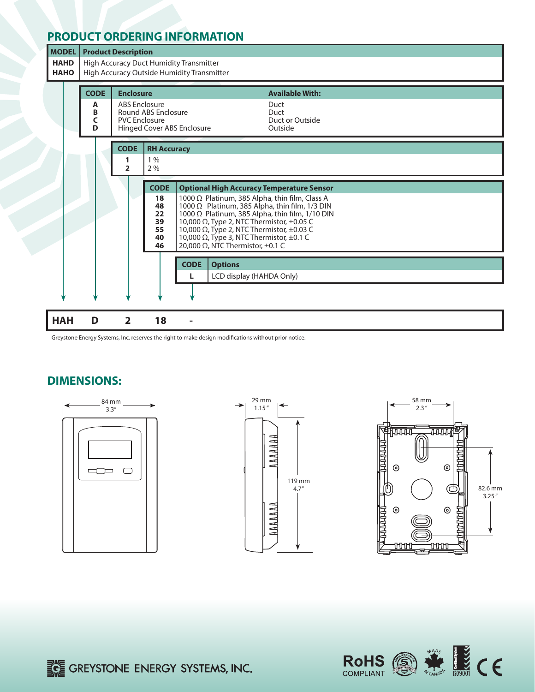### **PRODUCT ORDERING INFORMATION**



 1000 Ω Platinum, 385 Alpha, thin film, Class A  $\vert$  1000  $\Omega$  Platinum, 385 Alpha, thin film, 1/3 DIN  $\begin{bmatrix} 1000 \Omega \end{bmatrix}$  Platinum, 385 Alpha, thin film, 1/10 DIN **39**  $\begin{bmatrix} 10,000 \Omega \end{bmatrix}$  Type 2, NTC Thermistor, ±0.05 C  $\left\{ \begin{array}{l} 10,000 \Omega, \text{Type 2, NTC Thermistor, } \pm 0.05 \text{ C} \\ 10,000 \Omega, \text{Type 2, NTC Thermistor, } \pm 0.03 \text{ C} \end{array} \right\}$ 10,000 Ω, Type 2, NTC Thermistor, ±0.03 C

**HAH D 2 18 - 40** 10,000 Ω, Type 3, NTC Thermistor, ±0.1 C  **46** 20,000 Ω, NTC Thermistor, ±0.1 C  **CODE Options L** LCD display (HAHDA Only)

Greystone Energy Systems, Inc. reserves the right to make design modifications without prior notice.

#### **DIMENSIONS:**